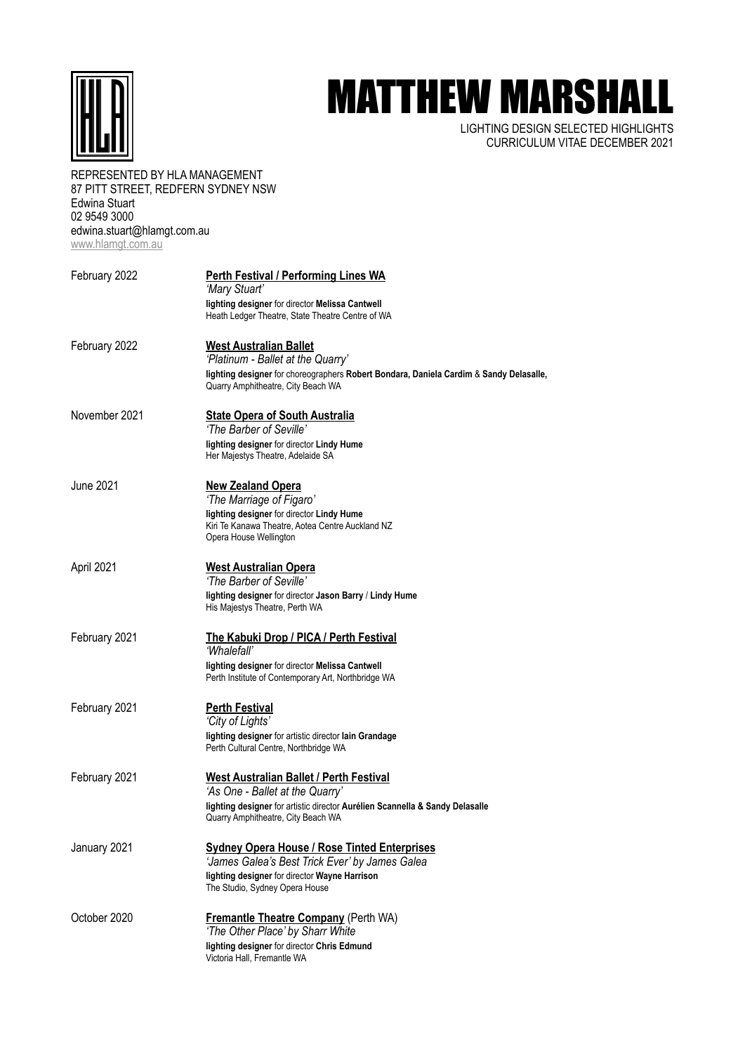

## MATTHEW MARSHALL

LIGHTING DESIGN SELECTED HIGHLIGHTS CURRICULUM VITAE DECEMBER 2021

## REPRESENTED BY HLA MANAGEMENT 87 PITT STREET, REDFERN SYDNEY NSW Edwina Stuart 02 9549 3000 edwina.stuart@hlamgt.com.au [www.hlamgt.com.au](http://www.hlamgt.com.au)

| February 2022 | <b>Perth Festival / Performing Lines WA</b><br>'Mary Stuart'<br>lighting designer for director Melissa Cantwell<br>Heath Ledger Theatre, State Theatre Centre of WA                                     |
|---------------|---------------------------------------------------------------------------------------------------------------------------------------------------------------------------------------------------------|
| February 2022 | <b>West Australian Ballet</b><br>'Platinum - Ballet at the Quarry'<br>lighting designer for choreographers Robert Bondara, Daniela Cardim & Sandy Delasalle,                                            |
| November 2021 | Quarry Amphitheatre, City Beach WA<br><b>State Opera of South Australia</b><br>'The Barber of Seville'                                                                                                  |
|               | lighting designer for director Lindy Hume<br>Her Majestys Theatre, Adelaide SA                                                                                                                          |
| June 2021     | <b>New Zealand Opera</b><br>'The Marriage of Figaro'<br>lighting designer for director Lindy Hume<br>Kiri Te Kanawa Theatre, Aotea Centre Auckland NZ<br>Opera House Wellington                         |
| April 2021    | <b>West Australian Opera</b><br>'The Barber of Seville'<br>lighting designer for director Jason Barry / Lindy Hume<br>His Majestys Theatre, Perth WA                                                    |
| February 2021 | <b>The Kabuki Drop / PICA / Perth Festival</b><br>'Whalefall'<br>lighting designer for director Melissa Cantwell<br>Perth Institute of Contemporary Art, Northbridge WA                                 |
| February 2021 | <b>Perth Festival</b><br>'City of Lights'<br>lighting designer for artistic director lain Grandage<br>Perth Cultural Centre, Northbridge WA                                                             |
| February 2021 | <b>West Australian Ballet / Perth Festival</b><br>'As One - Ballet at the Quarry'<br>lighting designer for artistic director Aurélien Scannella & Sandy Delasalle<br>Quarry Amphitheatre, City Beach WA |
| January 2021  | <b>Sydney Opera House / Rose Tinted Enterprises</b><br>'James Galea's Best Trick Ever' by James Galea<br>lighting designer for director Wayne Harrison<br>The Studio, Sydney Opera House                |
| October 2020  | <b>Fremantle Theatre Company</b> (Perth WA)<br>'The Other Place' by Sharr White<br>lighting designer for director Chris Edmund<br>Victoria Hall, Fremantle WA                                           |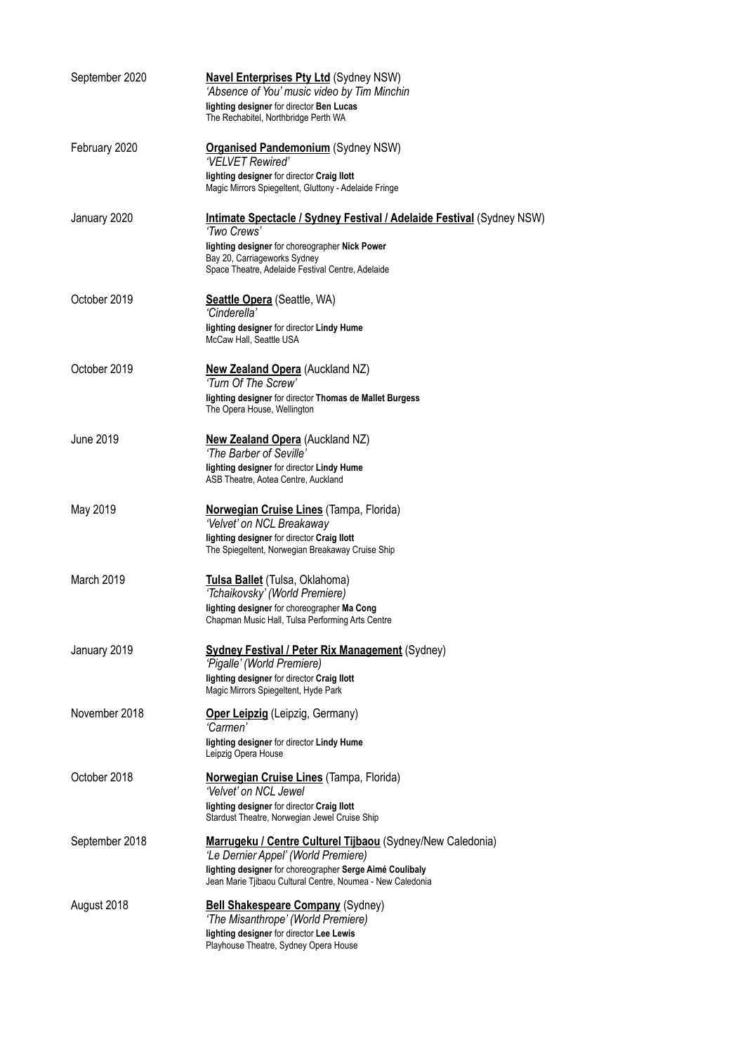| September 2020 | <b>Navel Enterprises Pty Ltd (Sydney NSW)</b><br>'Absence of You' music video by Tim Minchin                                                                  |  |
|----------------|---------------------------------------------------------------------------------------------------------------------------------------------------------------|--|
|                | lighting designer for director Ben Lucas<br>The Rechabitel, Northbridge Perth WA                                                                              |  |
| February 2020  | <b>Organised Pandemonium (Sydney NSW)</b><br>'VELVET Rewired'                                                                                                 |  |
|                | lighting designer for director Craig Ilott<br>Magic Mirrors Spiegeltent, Gluttony - Adelaide Fringe                                                           |  |
| January 2020   | <b>Intimate Spectacle / Sydney Festival / Adelaide Festival (Sydney NSW)</b><br>'Two Crews'                                                                   |  |
|                | lighting designer for choreographer Nick Power<br>Bay 20, Carriageworks Sydney<br>Space Theatre, Adelaide Festival Centre, Adelaide                           |  |
| October 2019   | <b>Seattle Opera</b> (Seattle, WA)<br>'Cinderella'                                                                                                            |  |
|                | lighting designer for director Lindy Hume<br>McCaw Hall, Seattle USA                                                                                          |  |
| October 2019   | <b>New Zealand Opera (Auckland NZ)</b><br>'Turn Of The Screw'                                                                                                 |  |
|                | lighting designer for director Thomas de Mallet Burgess<br>The Opera House, Wellington                                                                        |  |
| June 2019      | <b>New Zealand Opera (Auckland NZ)</b><br>'The Barber of Seville'                                                                                             |  |
|                | lighting designer for director Lindy Hume<br>ASB Theatre, Aotea Centre, Auckland                                                                              |  |
| May 2019       | <b>Norwegian Cruise Lines (Tampa, Florida)</b><br>'Velvet' on NCL Breakaway<br>lighting designer for director Craig Ilott                                     |  |
|                | The Spiegeltent, Norwegian Breakaway Cruise Ship                                                                                                              |  |
| March 2019     | Tulsa Ballet (Tulsa, Oklahoma)<br>'Tchaikovsky' (World Premiere)                                                                                              |  |
|                | lighting designer for choreographer Ma Cong<br>Chapman Music Hall, Tulsa Performing Arts Centre                                                               |  |
| January 2019   | <b>Sydney Festival / Peter Rix Management (Sydney)</b><br>'Pigalle' (World Premiere)                                                                          |  |
|                | lighting designer for director Craig Ilott<br>Magic Mirrors Spiegeltent, Hyde Park                                                                            |  |
| November 2018  | <b>Oper Leipzig</b> (Leipzig, Germany)<br>'Carmen'<br>lighting designer for director Lindy Hume                                                               |  |
| October 2018   | Leipzig Opera House                                                                                                                                           |  |
|                | Norwegian Cruise Lines (Tampa, Florida)<br>'Velvet' on NCL Jewel<br>lighting designer for director Craig Ilott                                                |  |
| September 2018 | Stardust Theatre, Norwegian Jewel Cruise Ship<br>Marrugeku / Centre Culturel Tijbaou (Sydney/New Caledonia)                                                   |  |
|                | 'Le Dernier Appel' (World Premiere)<br>lighting designer for choreographer Serge Aimé Coulibaly<br>Jean Marie Tjibaou Cultural Centre, Noumea - New Caledonia |  |
| August 2018    | <b>Bell Shakespeare Company (Sydney)</b><br>'The Misanthrope' (World Premiere)                                                                                |  |
|                | lighting designer for director Lee Lewis<br>Playhouse Theatre, Sydney Opera House                                                                             |  |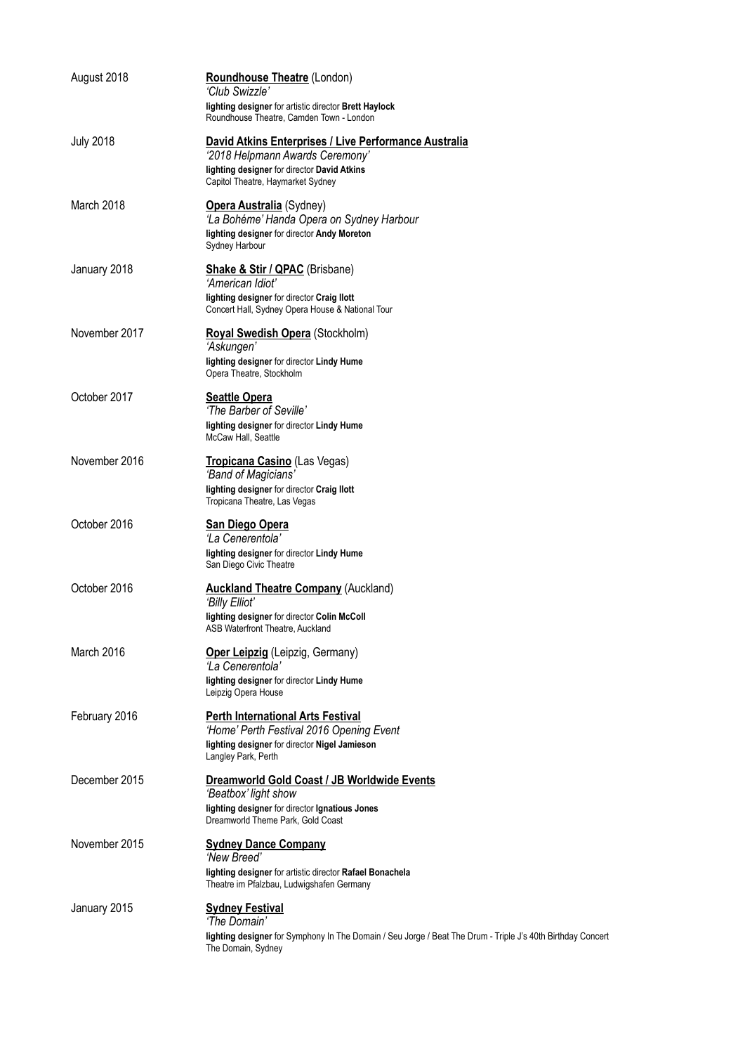| August 2018      | <b>Roundhouse Theatre (London)</b><br>'Club Swizzle'<br>lighting designer for artistic director Brett Haylock                                                                                                            |
|------------------|--------------------------------------------------------------------------------------------------------------------------------------------------------------------------------------------------------------------------|
| <b>July 2018</b> | Roundhouse Theatre, Camden Town - London<br>David Atkins Enterprises / Live Performance Australia<br>'2018 Helpmann Awards Ceremony'<br>lighting designer for director David Atkins<br>Capitol Theatre, Haymarket Sydney |
| March 2018       | <b>Opera Australia</b> (Sydney)<br>'La Bohéme' Handa Opera on Sydney Harbour<br>lighting designer for director Andy Moreton<br>Sydney Harbour                                                                            |
| January 2018     | Shake & Stir / QPAC (Brisbane)<br>'American Idiot'<br>lighting designer for director Craig Ilott<br>Concert Hall, Sydney Opera House & National Tour                                                                     |
| November 2017    | Royal Swedish Opera (Stockholm)<br>'Askungen'<br>lighting designer for director Lindy Hume<br>Opera Theatre, Stockholm                                                                                                   |
| October 2017     | <b>Seattle Opera</b><br>'The Barber of Seville'<br>lighting designer for director Lindy Hume<br>McCaw Hall, Seattle                                                                                                      |
| November 2016    | Tropicana Casino (Las Vegas)<br>'Band of Magicians'<br>lighting designer for director Craig Ilott<br>Tropicana Theatre, Las Vegas                                                                                        |
| October 2016     | <b>San Diego Opera</b><br>'La Cenerentola'<br>lighting designer for director Lindy Hume<br>San Diego Civic Theatre                                                                                                       |
| October 2016     | <b>Auckland Theatre Company (Auckland)</b><br>'Billy Elliot'<br>lighting designer for director Colin McColl<br>ASB Waterfront Theatre, Auckland                                                                          |
| March 2016       | Oper Leipzig (Leipzig, Germany)<br>'La Cenerentola'<br>lighting designer for director Lindy Hume<br>Leipzig Opera House                                                                                                  |
| February 2016    | <b>Perth International Arts Festival</b><br>'Home' Perth Festival 2016 Opening Event<br>lighting designer for director Nigel Jamieson<br>Langley Park, Perth                                                             |
| December 2015    | Dreamworld Gold Coast / JB Worldwide Events<br>'Beatbox' light show<br>lighting designer for director Ignatious Jones<br>Dreamworld Theme Park, Gold Coast                                                               |
| November 2015    | <b>Sydney Dance Company</b><br>'New Breed'<br>lighting designer for artistic director Rafael Bonachela<br>Theatre im Pfalzbau, Ludwigshafen Germany                                                                      |
| January 2015     | <b>Sydney Festival</b><br>'The Domain'<br>lighting designer for Symphony In The Domain / Seu Jorge / Beat The Drum - Triple J's 40th Birthday Concert<br>The Domain, Sydney                                              |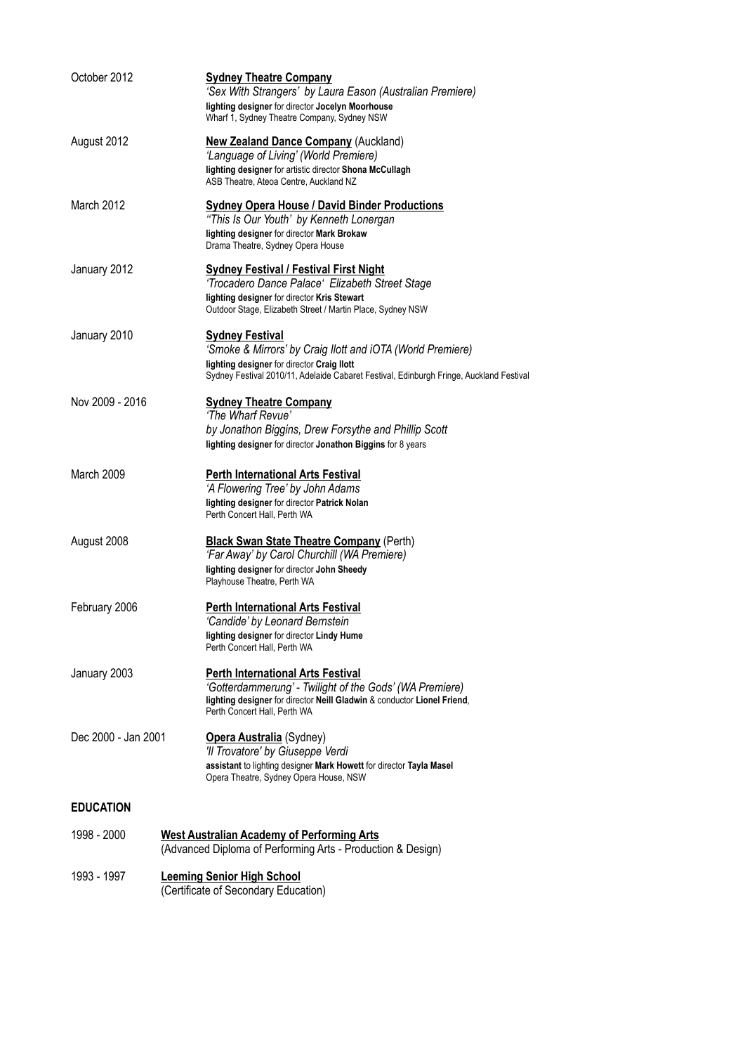| October 2012                                                                                                                    | <b>Sydney Theatre Company</b><br>'Sex With Strangers' by Laura Eason (Australian Premiere)<br>lighting designer for director Jocelyn Moorhouse<br>Wharf 1, Sydney Theatre Company, Sydney NSW                                 |  |
|---------------------------------------------------------------------------------------------------------------------------------|-------------------------------------------------------------------------------------------------------------------------------------------------------------------------------------------------------------------------------|--|
| August 2012                                                                                                                     | <b>New Zealand Dance Company</b> (Auckland)<br>'Language of Living' (World Premiere)<br>lighting designer for artistic director Shona McCullagh<br>ASB Theatre, Ateoa Centre, Auckland NZ                                     |  |
| March 2012                                                                                                                      | <b>Sydney Opera House / David Binder Productions</b><br>"This Is Our Youth' by Kenneth Lonergan<br>lighting designer for director Mark Brokaw<br>Drama Theatre, Sydney Opera House                                            |  |
| January 2012                                                                                                                    | <b>Sydney Festival / Festival First Night</b><br>'Trocadero Dance Palace' Elizabeth Street Stage<br>lighting designer for director Kris Stewart<br>Outdoor Stage, Elizabeth Street / Martin Place, Sydney NSW                 |  |
| January 2010                                                                                                                    | <b>Sydney Festival</b><br>'Smoke & Mirrors' by Craig Ilott and iOTA (World Premiere)<br>lighting designer for director Craig Ilott<br>Sydney Festival 2010/11, Adelaide Cabaret Festival, Edinburgh Fringe, Auckland Festival |  |
| Nov 2009 - 2016                                                                                                                 | <b>Sydney Theatre Company</b><br>'The Wharf Revue'<br>by Jonathon Biggins, Drew Forsythe and Phillip Scott<br>lighting designer for director Jonathon Biggins for 8 years                                                     |  |
| March 2009                                                                                                                      | <b>Perth International Arts Festival</b><br>'A Flowering Tree' by John Adams<br>lighting designer for director Patrick Nolan<br>Perth Concert Hall, Perth WA                                                                  |  |
| August 2008                                                                                                                     | <b>Black Swan State Theatre Company (Perth)</b><br>'Far Away' by Carol Churchill (WA Premiere)<br>lighting designer for director John Sheedy<br>Playhouse Theatre, Perth WA                                                   |  |
| February 2006                                                                                                                   | <b>Perth International Arts Festival</b><br>'Candide' by Leonard Bernstein<br>lighting designer for director Lindy Hume<br>Perth Concert Hall, Perth WA                                                                       |  |
| January 2003                                                                                                                    | <b>Perth International Arts Festival</b><br>'Gotterdammerung' - Twilight of the Gods' (WA Premiere)<br>lighting designer for director Neill Gladwin & conductor Lionel Friend,<br>Perth Concert Hall. Perth WA                |  |
| Dec 2000 - Jan 2001                                                                                                             | <b>Opera Australia</b> (Sydney)<br>'Il Trovatore' by Giuseppe Verdi<br>assistant to lighting designer Mark Howett for director Tayla Masel<br>Opera Theatre, Sydney Opera House, NSW                                          |  |
| <b>EDUCATION</b>                                                                                                                |                                                                                                                                                                                                                               |  |
| 1998 - 2000<br><b>West Australian Academy of Performing Arts</b><br>(Advanced Diploma of Performing Arts - Production & Design) |                                                                                                                                                                                                                               |  |
| 1993 - 1997<br><b>Leeming Senior High School</b><br>(Certificate of Secondary Education)                                        |                                                                                                                                                                                                                               |  |